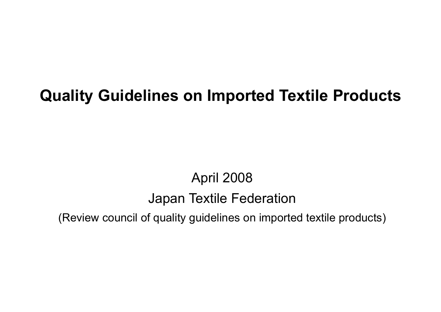# Quality Guidelines on Imported Textile Products

# April 2008 Japan Textile Federation

(Review council of quality guidelines on imported textile products)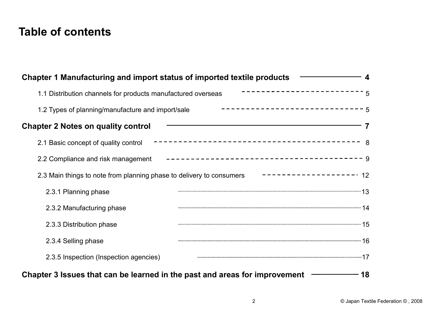## Table of contents

| <b>Table of contents</b>                                                                       |                                    |
|------------------------------------------------------------------------------------------------|------------------------------------|
| Chapter 1 Manufacturing and import status of imported textile products                         | $\boldsymbol{\Delta}$              |
| ------------------------<br>1.1 Distribution channels for products manufactured overseas       | 5                                  |
| $-$ ----------------------------5<br>1.2 Types of planning/manufacture and import/sale         |                                    |
| <b>Chapter 2 Notes on quality control</b>                                                      | 7                                  |
| 2.1 Basic concept of quality control                                                           |                                    |
|                                                                                                |                                    |
| 2.3 Main things to note from planning phase to delivery to consumers<br>------------------- 12 |                                    |
| 2.3.1 Planning phase                                                                           |                                    |
| 2.3.2 Manufacturing phase                                                                      |                                    |
| 2.3.3 Distribution phase                                                                       |                                    |
| 2.3.4 Selling phase                                                                            |                                    |
| 2.3.5 Inspection (Inspection agencies)                                                         |                                    |
| Chapter 3 Issues that can be learned in the past and areas for improvement                     | 18                                 |
| $\overline{2}$                                                                                 | © Japan Textile Federation ©, 2008 |
|                                                                                                |                                    |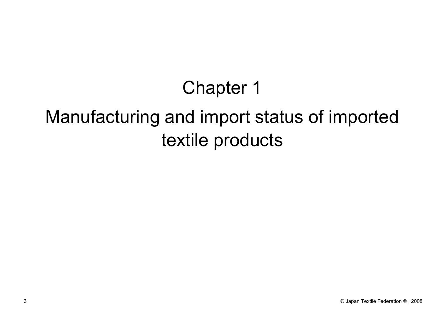# Chapter 1

# Manufacturing and import status of imported textile products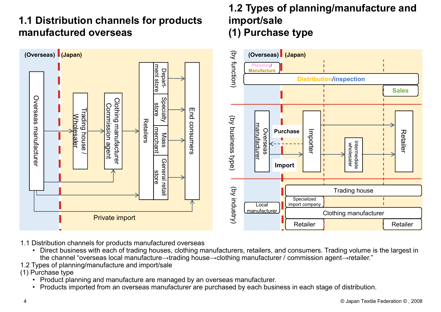## 1.1 Distribution channels for products manufactured overseas



- 
- 1.1 Distribution channels for products manufactured overseas<br>• Direct business with each of trading houses, clothing manufacturers, retailers, and consumers. Trading volume is the largest in
- 1.2 Types of planning/manufacture and import/sale

- (1) Purchase type<br>• Product planning and manufacture are managed by an overseas manufacturer.
	-

#### 1.2 Types of planning/manufacture and import/sale (1) Purchase type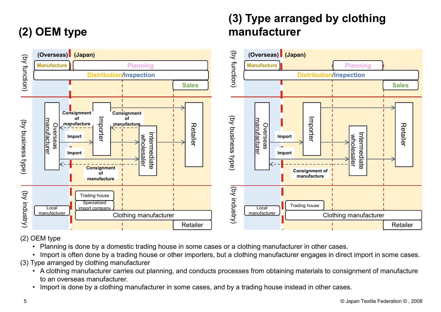# (2) OEM type



(3) Type arranged by clothing

manufacturer

- 
- 
- (3) Type arranged by clothing manufacturer
	- to an overseas manufacturer.
	-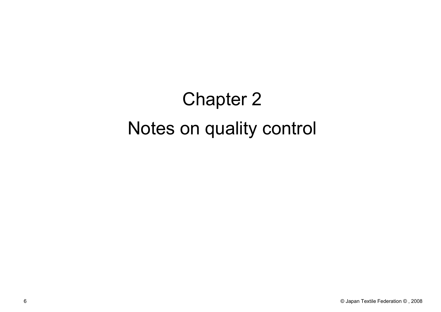# Chapter 2 Notes on quality control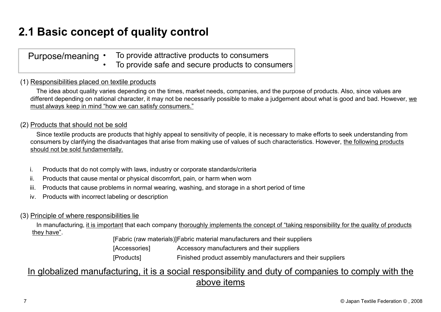# 2.1 Basic concept of quality control

|                                                | <b>2.1 Basic concept of quality control</b>                                                                                 |  |
|------------------------------------------------|-----------------------------------------------------------------------------------------------------------------------------|--|
|                                                |                                                                                                                             |  |
| Purpose/meaning •                              | To provide attractive products to consumers                                                                                 |  |
|                                                | To provide safe and secure products to consumers                                                                            |  |
| 1) Responsibilities placed on textile products |                                                                                                                             |  |
|                                                | The idea about quality varies depending on the times, market needs, companies, and the purpose of products. Also, since v   |  |
|                                                | different depending on national character, it may not be necessarily possible to make a judgement about what is good and ba |  |

#### (1) Responsibilities placed on textile products

The idea about quality varies depending on the times, market needs, companies, and the purpose of products. Also, since values are different depending on national character, it may not be necessarily possible to make a judgement about what is good and bad. However, we must always keep in mind "how we can satisfy consumers." **i. Products that should not be sold times** in omnin moral wearing, washing, and storage in a short period of time<br>
The idea about quality varies depending on the times, market needs, companies, and the purpose of produc **incerty or the cause of the cause mental or physical discompanisms**. To provide safe and secure products to consumers<br> **Responsibilities placed on textile products**<br>
The idea about quality varies depending on the times, m **Purpose/meaning** • To provide attractive products to consumers<br> **Responsibilities placed on textile products**<br>
The idea about quality varies depending on the times, market needs, companies, and the purpose of products. Al From the metallicity or corporate standards contained the metallity arises depending on the times, market needs, companies, different depending on national character, it may not be necessarily possible to make must always The idea about quality viries depending on the times, market needs, companies, and the purpose of products. Also, since values are<br>Theret depending on national character, it may not be necessarily possible to make a judgem

#### (2) Products that should not be sold

Since textile products are products that highly appeal to sensitivity of people, it is necessary to make efforts to seek understanding from consumers by clarifying the disadvantages that arise from making use of values of such characteristics. However, the following products should not be sold fundamentally. **sold**<br>
sold<br>
coducts that highly appeal to sensitivity of people, it is necessary to make efforts to seek understane<br>
bland the strained transition manufactures of such characteristics. However, <u>the following relity</u><br>
bl Manuscript and the interior stating in the mass of the method stating from stadious that arise from making use of values of such characteristics. However, the following products and sadvantages that arise from making use o

- 
- 
- 
- 

#### (3) Principle of where responsibilities lie

they have".

[Fabric (raw materials)]Fabric material manufacturers and their suppliers

#### In globalized manufacturing, it is a social responsibility and duty of companies to comply with the above items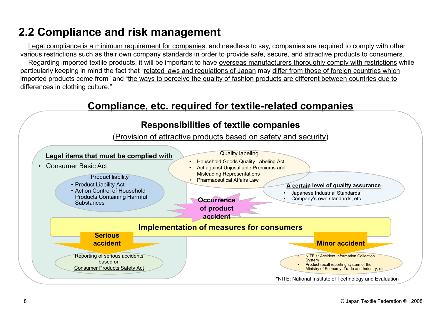# 2.2 Compliance and risk management

Legal compliance is a minimum requirement for companies, and needless to say, companies are required to comply with other various restrictions such as their own company standards in order to provide safe, secure, and attractive products to consumers.

**2 Compliance and risk management**<br><u>Legal compliance is a minimum requirement for companies,</u> and needless to say, companies are required to comply with other<br>rious restrictions such as their own company standards in order **Particularly compliance and risk management<br>
Legal compliance is a minimum requirement for companies, and needless to say, companies are required to comply with other<br>
Regarding imported exterie row company standards in o** imported products come from" and "the ways to perceive the quality of fashion products are different between countries due to differences in clothing culture."

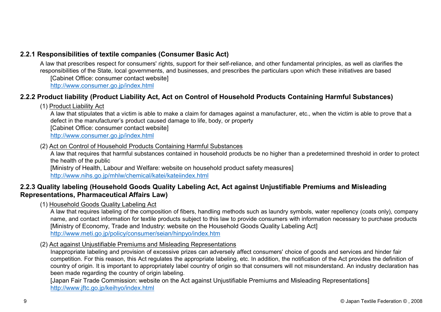#### 2.2.1 Responsibilities of textile companies (Consumer Basic Act)

A law that prescribes respect for consumers' rights, support for their self-reliance, and other fundamental principles, as well as clarifies the Responsibilities of textile companies (Consumer Basic Act)<br>A law that prescribes respect for consumers' rights, support for their self-reliance, and other fundamental principles, as well as clarifies the<br>responsibilities o

[Cabinet Office: consumer contact website]

http://www.consumer.go.jp/index.html

#### 2.2.2 Product liability (Product Liability Act, Act on Control of Household Products Containing Harmful Substances)

#### (1) Product Liability Act

**ponsibilities of textile companies (Consumer Basic Act)**<br>what prescribes respect for consummers' rights, support for their self-reliance, and other fundamental principles, as well as clarifies the<br>ponsibilities of the Sta defect in the manufacturer's product caused damage to life, body, or property [Cabinet Office: consumer contact website] http://www.consumer.go.jp/index.html **ponsibilities of textile companies (Consumer Basic Act)**<br>what preseribes respect for consumers rights, support for their self-reliance, and other fundamental principles, as well as clarifies the<br>ficabilities of the State, 2.2.1 Responsibilities of textile companies (Consumer Basic Act)<br>
A law that prescribes deserved for consumers' rights, support for their self-reliance, and other fundamental principles, as well as clarifies the<br>
responsi

#### (2) Act on Control of Household Products Containing Harmful Substances

the health of the public

[Ministry of Health, Labour and Welfare: website on household product safety measures]

http://www.nihs.go.jp/mhlw/chemical/katei/kateiindex.html

# Representations, Pharmaceutical Affairs Law)

(1) Household Goods Quality Labeling Act

A law that requires labeling of the composition of fibers, handling methods such as laundry symbols, water repellency (coats only), company name, and contact information for textile products subject to this law to provide consumers with information necessary to purchase products [Ministry of Economy, Trade and Industry: website on the Household Goods Quality Labeling Act] http://www.meti.go.jp/policy/consumer/seian/hinpyo/index.htm Hotel in the manufacturer's product caused damage to life, body, or property<br>dicabree time the manufacturer's product caused damage to life, body, or property<br>(Cabrie Coffice: consumer coolpulnex.html<br>http://www.consumer.g

#### (2) Act against Unjustifiable Premiums and Misleading Representations

competition. For this reason, this Act regulates the appropriate labeling, etc. In addition, the notification of the Act provides the definition of country of origin. It is important to appropriately label country of origin so that consumers will not misunderstand. An industry declaration has been made regarding the country of origin labeling.

[Japan Fair Trade Commission: website on the Act against Uniustifiable Premiums and Misleading Representations] http://www.jftc.go.jp/keihyo/index.html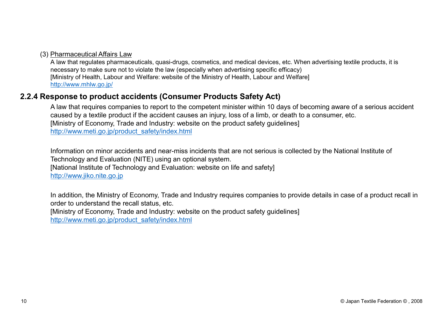#### (3) Pharmaceutical Affairs Law

A law that regulates pharmaceuticals, quasi-drugs, cosmetics, and medical devices, etc. When advertising textile products, it is necessary to make sure not to violate the law (especially when advertising specific efficacy) [Ministry of Health, Labour and Welfare: website of the Ministry of Health, Labour and Welfare] http://www.mhlw.go.jp/ (3) <u>Pharmaceutical Affairs Law</u><br>
A law that regulates pharmaceuticals, quasi-drugs, cosmetics, and medical devices, etc. When advertisine<br>
necessary to make sure not to violate the law (especially when advertising specif

A law that requires companies to report to the competent minister within 10 days of becoming aware of a serious accident caused by a textile product if the accident causes an injury, loss of a limb, or death to a consumer, etc. [Ministry of Economy, Trade and Industry: website on the product safety guidelines] http://www.meti.go.jp/product\_safety/index.html

Information on minor accidents and near-miss incidents that are not serious is collected by the National Institute of Technology and Evaluation (NITE) using an optional system.

[National Institute of Technology and Evaluation: website on life and safety]

http://www.jiko.nite.go.jp

In addition, the Ministry of Economy, Trade and Industry requires companies to provide details in case of a product recall in order to understand the recall status, etc.

[Ministry of Economy, Trade and Industry: website on the product safety guidelines]

http://www.meti.go.jp/product\_safety/index.html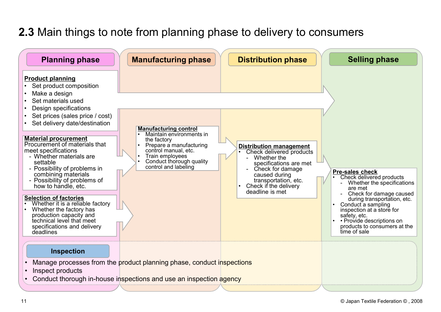## 2.3 Main things to note from planning phase to delivery to consumers

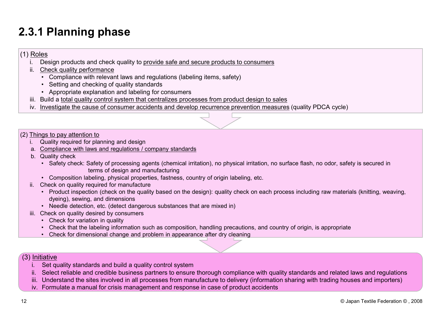# 2.3.1 Planning phase **3.1 Planning phase**<br>
Roles<br>
i. Design products and check quality to <u>provide safe and secure</u><br>
ii. <u>Check quality performance</u><br>
• Compliance with relevant laws and regulations (labeling ite<br>
• Setting and checking of qual

#### (1) Roles

- **3.1 Planning phase**<br>
i. Design products and check quality to <u>provide safe and secure products to consumers</u><br>
ii. <u>Check quality performance</u><br>
 Compliance with relevant laws and regulations (labeling items, safety)<br>
 Se
- -
	-
	-
- 
- **Planning phase**<br>• Compliance with relevant of the set and secure products to consumers<br>• Compliance with relevant laws and regulations (labeling items, safety)<br>• Setting and checking of quality standards<br>• Appropriate e **Planning phase**<br> **Planning phase**<br> **Example 3**<br> **Example 10**<br> **Example 10**<br> **Example and checking and check quality to provide safe and secure products to d<br>
<b>Check quality performance**<br>
• Compliance with relevant laws an **Planning phase**<br> **Polanning phase**<br>
Design products and check quality to <u>provide safe and secure products to consumers</u><br>
Check quality performance<br>
• Compliance with relevant laws and regulations (labeling items, safety) **3.1 Planning phase**<br>
i. Design products and check quality to <u>provide safe and secure products to consumers</u><br>
ii. <u>Check quality performance</u><br>
• Compliance with relevant laws and regulations (labeling items, safety)<br>
• Se **3.1 Planning phase**<br>
Roles<br>
i. Design products and check quality to provide safe and secure products to consumers<br>
ii. <u>Check quality performance</u><br>
• Compliance with relevant laws and regulations (labeling items, safety)<br>

#### (2) Things to pay attention to

- 
- 
- 
- 3.1 Planning phase<br>
i. Design products and check quality to <u>provide safe and secure products</u><br>
ii. <u>Check quality performance</u><br>
 Compliance with relevant laws and regulations (labeling items, safety<br>
 Setting and checki 3.1 Planning phase<br>
Roles<br>
Check quality performance<br>
i. Check quality performance<br>
compliance with relevant laws and regulations (labeling items, safety)<br>
compliance with relevant discussion of quality standards<br>
Appropri **B. 1 Planning phase**<br>
i. Design products and check quality to <u>provide safe and secure</u><br>
i. <u>Check quality performance</u><br>
• Compliance with relevant laws and regulations (labeling ite<br>
• Setting and checking of quality sta **• Planning phase**<br>• Sesign products and check quality to <u>provide safe and secure products to consumers</u><br>• Setting are denoting of quality and interval it was and regulations (labeling items. safety)<br>• Setting and checkin terms of design and manufacturing
	-
- 
- **Example of the complete and check** quality to provide safe and secure products to consumers<br>
 Compliance with relevant laws and regulations (labeling items, safety)<br>
 Compliance with relevant laws and regulations (label **Roles**<br>
i. Design products and check quality to <u>provide safe and secure products to</u><br>
ii. Check quality performance<br> **••** Compliance with relevant laws and regulations (labeling items, safety)<br>
•• Setting and checking of example moducts and check quality to <u>provide safe and secure products to consumers</u><br>Check quality performance<br>• Cetting and checking of quality shandards<br>• Setting and checking of quality consumers<br>• Appropriate explanati dyeing), sewing, and dimensions Free Quality Periormiance<br>
• Compliance with relevant laws and regulations (labeling items, safety)<br>
• Setting and checking of quality standards<br>
• Appropriate explanation and labeling for consumers<br>
Build a total quality • Compiance with laws an regivant laws an engulations (tabeling thems, say<br>• Setting and checking of quality standards<br>• Appropriate explanation and labeling for consumers<br>iii. Build a <u>total quality control system that ce</u> • Setting and checking or quality standards<br>• Appropriate explanation and labeling for consumers<br>Build a total quality control system that centralizes processes from<br>nvestigate the cause of consumer accidents and develop r • Appropriate explanation and istelling to rconsumers<br>
• Appropriate explanation for such as component and develop recurrence prevention measures (quality PDCA cycle)<br>
1981 to pay attention to<br>
gas to pay attention to<br>
Jua Final changes a transmission of system that centralizes processes from product design to sales<br>
investigate the cause of consumer accidents and develop recurrence prevention measures (quality PDCA cycl<br>
gs to pay attention Things to pay attention to<br>
a Compliance with laws and regulations / company standards<br>
a. Compliance with laws and regulations / company standards<br>
3. Compliance with laws and regulations / company standards<br>
3. Complisi Complished for planning and design<br>
2. Complished and credibilitions <sup>2</sup>. Select reliable and manufacturing<br>
2. Couldly direct it. Safety of processing agents (chemical irritation), no physical irritation, no surface flas in: Check tot minimize with a weak to provide the sites in a manufacture of the sites in all processing agents (chemical irritation), no physical irritation, no surface flash, no odor, safety is secured in<br>
Composition lab iv. Contained in the same of processing agents (chemical irritation), no physical irritation, no<br>
composition labeling, physical properties, fastness, country of origin labeling, etc.<br>
Check on quality required for manufac
	-
- -
	-
	-

- 
- 
- 
-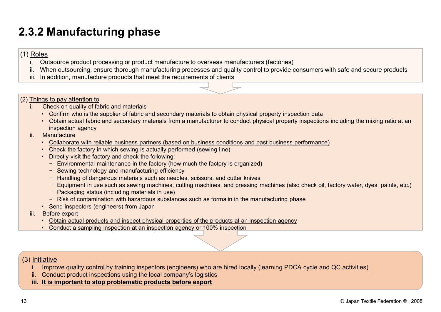# 2.3.2 Manufacturing phase

#### (1) Roles

- 
- **3.2 Manufacturing phase**<br>
Ecoles<br>
i. Outsource product processing or product manufacture to overseas manufacturers (factories)<br>
ii. When outsourcing, ensure thorough manufacturing processes and quality control to provide **3.2 Manufacturing phase**<br>
i. Outsource product processing or product manufacture to overseas manufacturers (factories)<br>
ii. When outsourcing, ensure thorough manufacturing processes and quality control to provide consumer **3.2 Manufacturing phase**<br>
Eloles<br>
ii. Outsource product processing or product manufacture to overseas manufacturers (factories)<br>
iii. When outsourcing, ensure thorough manufacturing processes and quality control to provid
- 
- (2) Things to pay attention to
	- -
- **3.2 Manufacturing phase**<br>
Ecoles<br>
i. Outsource product processing or product manufacture to overseas m<br>
iii. When outsourcing, ensure thorough manufacturing processes and quality<br>
iii. In addition, manufacture products th • Confirm who is the supplier of fabric and materials to obtain any other outsource product processing or product manufacturing processes and quality control to provide consumers with safe and secure products an addition, • Obtained the conduct processing or product manufacture to overseas manufacturers (factories)<br>
When outsourcing, ensure through manufacturing processes and quality control to provide consumers with safe and secure product inspection agency **3.2 Manufacturing phase**<br>
i. Outsource product processing or product manufacture to overse<br>
iii. When outsourcing, ensure thorough manufacturing processes a<br>
iii. In addition, manufacture products that meet the requiremen • Collaborate product processing or product manufacture to overseas manufacturers (factories)<br>
Cultsource product processing a product manufacture to overseas manufacturers (factories)<br>
Alten outsourcing, ensure through ma • Manufacturing phase<br>
• Coutsource product processing or product manufacture to overseas manufacturers (factori<br>
Mhen outsourcing, ensure thorough manufacturing processes and quality control to provide<br>
1988 to pay attent • **Manufacturing phase**<br>
<sup>28</sup><br>
<sup>28</sup><br>
Dutsource product processing or product manufacture to overseas<br>
Mhen outsourcing, ensure thorough manufacturing processes and<br> **19**<br> **19**<br> **19**<br> **19**<br> **19**<br> **19**<br> **19**<br> **19**<br> **19**<br> **19** Fraction, manufacture products that meet the requirements of clients<br> **as to pay attention to**<br> **as to pay attention to**<br> **Check on quality of fabric and materials**<br>
• Cohfim who is the supplier of fabric and secondary mat In the diameterial products that meet the requirements of<br>
1. Check on quality of fabric and materials<br>
• Confin who is the supplier of fabric and secondary materials<br>
• Cohian actual fabric and secondary materials from a de to pay attention to<br>
• Confirm who is the supplier of fabric and secondary materials to obtain physical property inspection data<br>
• Obtain actual fabric and secondary materials from a manufacturer to conduct physical pr decomposition in the sample of the sample of the scondary materials to obtain physical property inspection data<br>
• Confirm who is the supplier of fabric and secondary materials to obtain physical property inspections ince<br>
	- -
		-
		- - Environmental maintenance in the factory (how much the factory is organized)
			- Sewing technology and manufacturing efficiency
			- Handling of dangerous materials such as needles, scissors, and cutter knives
			- Equipment in use such as sewing machines, cutting machines, and pressing machines (also check oil, factory water, dyes, paints, etc.)
			- Packaging status (including materials in use)
			- Risk of contamination with hazardous substances such as formalin in the manufacturing phase
		-
	- -
		-

- i. Manufacture<br>
•• Collaborate with reliable business partners (based on business conditions and past business performance)<br>
 Check the factory in which sevieng is actually performed (sewing line)<br>
 Directly wist the fa • Collaborate with reliable business partners (based on business conditions and past business pe<br>
• Check the factory in which sewing is actually performed (sewing line)<br>
• Directly visit the factory and check the followi • Check the factory in which sewing is actually performed (sewin • Directly visit the factory and check the following:<br>
• Environmental maintenance in the factory (how much the fa<br>
− Sewing technology and manufacturing e
- 
-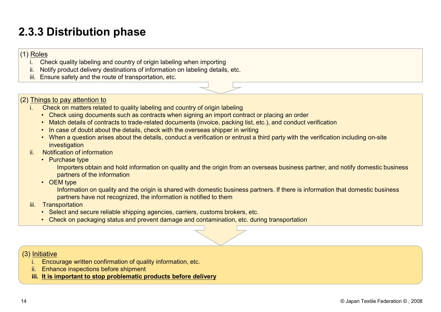# 2.3.3 Distribution phase **3.3 Distribution phase**<br> **Roles**<br> **i.** Check quality labeling and country of origin labeling when importin<br> **ii.** Notify product delivery destinations of information on labeling deta<br> **iii.** Ensure safety and the route of

#### (1) Roles

- 
- **3.3 Distribution phase**<br> **Roles**<br> **i.** Check quality labeling and country of origin labeling when importing<br>
ii. Notify product delivery destinations of information on labeling details, etc.<br> **iii.** Ensure safety and the **i**<br> **Roles**<br> **ii.** Check quality labeling and country of origin labeling when importing<br> **iii.** Notify product delivery destinations of information on labeling details, etc.<br> **iii.** Ensure safety and the route of transpor
- 

#### (2) Things to pay attention to

- -
	-
	-
- **3.3 Distribution phase**<br>
i. Check quality labeling and country of origin labeling when importing<br>
ii. Notify product delivery destinations of information on labeling details, etc.<br>
iii. Ensure safety and the route of tran • Check quality labeling and country of origin labeling when importing<br>Check quality labeling and country of origin labeling when importing<br>meant of the meant of the result of the contraction of the mean in a labeling<br>the • Match details of contracts of contracts of contracts of information on labelling when importing<br>Notify product delivery destinations of information on labeling details, etc.<br>Firsure safety and the route of transportation Friend Match (We also do the details) and country of origin labeling when importing<br>Check withy product delivery destinations of information on labeling details, etc.<br>Finally about the result of the counter of the country • When a question arises about the details, conduct a verification of entropy about the details, etc.<br>
There are safety and the route of transportation, etc.<br>
The same start and the route of transportation, etc.<br>
The same investigation 3.3 Distribution phase<br>
Elestication of Soles<br>
ii. Check quality labeling and country of origin labeling when impo<br>
iii. Check quality labeling and country of origin labeling when impo<br>
iii. Ensure safety and the route of • Purchase type **Example 18**<br>
Example 19 Check quality labeling and country of origin labeling when importive<br>
Notify product delivery destinations of information on labeling deta<br>
Ensure safety and the route of transportation, etc.<br>
19 ii. Notify product delivery destinations of information on labelling de<br>
iii. Ensure safety and the route of transportation, etc.<br>
Things to pay attention to<br>
. Check on matters related to quality labeling and country of o Finally and the route of transportation, etc.<br>
Show a contrast secure related to quality labeling and country of origin labeling<br>
• Check an matters related to quality labeling and country of origin labeling<br>
• Match detai i. In case of doubt about the details, check with the overseas shipper in w<br>
i. When a question arises about the details, conduct a verification or entru<br>
i. Notification of information<br>
Purchase type<br>
Importers of the in • When a question arises about the details, conduct a verifica<br>
investigation<br>
• Notification of information<br>
• Purchase type<br>
Importers obtain and hold information on quality and the e<br>
partners of the information<br>
• OEM
- -

Importers obtain and hold information on quality and the origin from an overseas business partner, and notify domestic business partners of the information **Fract on the control of the control of the control of the control of the control of the control of the control of the control of the control of the control of the control of the control of the contents of the control of t** investigation<br>
i. Notification of information<br>
• Purchase type<br>
Importers obtain and hold information on quality and the or<br>
partners of the information<br>
• OEM type<br>
Information on quality and the origin is shared with dom

Information on quality and the origin is shared with domestic business partners. If there is information that domestic business partners have not recognized, the information is notified to them<br>iii. Transportation

- -
	-

- 
- 
-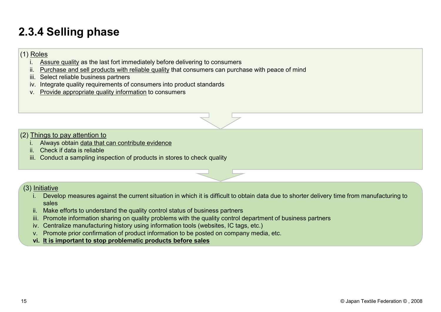# 2.3.4 Selling phase<br>
(1)  $\frac{\text{Roles}}{\text{Assume quality}}$  as the last fort immediately before delivering to compare

#### (1) Roles

- 
- **3.4 Selling phase**<br> **i.** Assure quality as the last fort immediately before delivering to consumers<br> **iii.** <u>Purchase and sell products with reliable quality</u> that consumers can purchase with peace of mind<br>
iii. Select re **3.4 Selling phase**<br>
<u>ii. Assure quality</u> as the last fort immediately before delivering to consumers<br>
ii. <u>Purchase and sell products with reliable quality</u> that consumers can purchase with peace of mind<br>
iii. Select reli **3.4 Selling phase**<br>
Roles<br>
i. Assure quality as the last fort immediately before delivering to c<br>
ii. <u>Purchase and sell products with reliable quality</u> that consumers<br>
iii. Select reliable business partners<br>
iv. Integrat **3.4 Selling phase**<br> **Example 18.4 Selling phase**<br> **Example 18.4 Sesure quality** as the last fort immediately before delivering to consumers<br>
iii. <u>Purchase and sell products with reliable quality</u> that consumers can purch **v. A. Selling phase**<br>V. Assure quality as the last fort immediately before delivering to consumers<br>ii. Purchase and sell products with reliable quality that consumers can purchase with peace of mind<br>ii. Select reliable bu **3.4 Selling phase**<br>
i. Assure quality as the last fort immediately before delivering to consumers<br>
iii. <u>Purchase and sell products with reliable quality</u> that consumers can purchase with<br>
iii. Select reliable business pa **3.4 Selling phase**<br> **Example 18.4 Sesure quality** as the last fort immediately before delivering to consumers<br>
iii. Sesure quality as the last fort immediately before delivering to consumers<br>
iiii. Select reliable busines
- 
- 
- 



- (2) Things to pay attention to
	-
	-
- **Sometical Selling phase**<br>
<u>Roles</u><br>
i. Assure quality as the last fort immediately before delivering to it.<br>
III. Select reliable business partners<br>
iii. Select reliable business partners<br>
iii. Select reliable business par

- interaction and products with reliable quality the fore delivering to consumers can purchase with peace of mind<br>
i. Select reliable business partners<br> *i.* Integrate quality inquirements of consumers into product standards sales ii. Select reliable business partners<br>
. Integrate quality indymentents of consumers into product standards<br>
. Provide appropriate quality information to consumers<br>
. Conduct a sampling inspection of products in stores to ii. Provide appropriate quality information to consumers<br>
Provide appropriate quality information to consumers<br>
Things to pay attention to<br>
Interaction sharing inspection of products in stores to check quality<br>
i. Conduct Frovide appropriate quality information to consumers<br>
Things to pay attention to<br>
Always obtain data that can contribute evidence<br>
Check if data is reliable<br>
Conduct a sampling inspection of products in stores to check qua Things to pay attention to<br>
Always obtain data that can contribute evidence<br>
Check if data is reliable<br>
Conduct a sampling inspection of products in stores to check quality<br>
Initiative<br>
Intitiative<br>
Stabs<br>
Stabs<br>
Stabs eff Things to pay attention to<br>
Always obtain data that can contribute evidence<br>
. Check if data is reliable<br>
. Conduct a sampling inspection of products in stores to check queries.<br>
Initiative<br>
ii. Develop measures against th
- 
- 
- 
- 
-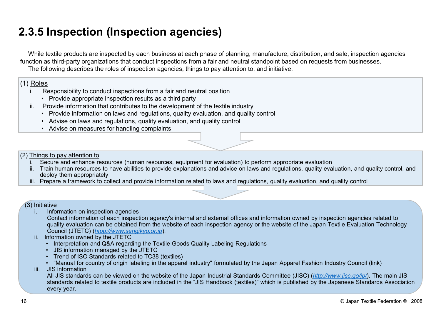# 2.3.5 Inspection (Inspection agencies)

**3.5 Inspection (Inspection agencies)**<br>
While textile products are inspected by each business at each phase of planning, manufacture, distribution,<br>
tion as third-party organizations that conduct inspections from a fair a **highlenging and in the spectric in and the spectric in Spectric S**<br> **highlenging approximation** and the textile products are inspected by each business at each phase of planning, manufact<br>
is a third-party organizations t **3.5 Inspection (Inspection agencies)**<br>
While textile products are inspected by each business at each phase of planning, manufacture, distribution, and<br>
tion as third-party organizations that conduct inspections from a fa **Follow 10 Community in the system on a system of the system of the system of the statice products are inspected by each business at each phase of planning, manufacture, distribution as third-party organizations that condu Follow 10**<br> **he textile products are inspected by each business at each phase of planning, manufact as third-party organizations that conduct inspections from a fair and neutral standpoint following describes the roles of Follow 19 All the product of the system of the system of the exitie products are inspected by each business at each phase of planning, as a third-party organizations that conduct inspections from a fair and neutral serve 3.5 Inspection (Inspection agencies)**<br>
While textile products are inspected by each business at each phase of planning, manufacture, distribution, and sale, inspection agencies<br>
ticin as third-party organizations that con **Characteristic products** are inspected by each business at each phase of planning, manufacture, distribution, and sale, inspection agencies the following describes the roles of inspection agencies forms and neutral standp Mhile textile products are inspected by each business at each phase of planning, manufacture, distribution, and sale, inspection agencies<br>the following describes the roles of inspection agencies, things to pay attention t **3.5 Inspection (Inspection agencies)**<br>While textile products are inspected by each business at each phase of planning, manufacture, distribution, and sale, inspection agencies<br>The following describes the roles of inspecti function as third-party organizations that conduct inspections from a fair and neutral standpoint based on requests from businesses.

The following describes the roles of inspection agencies, things to pay attention to, and initiative.

#### (1) Roles

- -
- -
	-
	-



- (2) Things to pay attention to<br>i. Secure and enhance resources (human resources, equipment for evaluation) to perform appropriate evaluation
	- deploy them appropriately<br>iii. Prepare a framework to collect and provide information related to laws and regulations, quality evaluation, and quality control
	-

(3) Initiative<br>i. Information on inspection agencies

Coles<br>
Sesponsibility to conduct inspections from a fair and neutral posit<br>
• Provide appropriate inspection results as a third party<br>
Provide information that contributes to the development of the tex<br>
• Provide informat Contact information of each inspection agency's internal and external offices and information owned by inspection agencies related to quality evaluation can be obtained from the website of each inspection agency or the website of the Japan Textile Evaluation Technology Council (JTETC) (*htpp://www.sengikyo.or.jp*).<br>ii. Information owned by the JTETC Provide information that contributes to the development of the textile industre-<br>
Provide information on laws and regulations, quality evaluation, and qualitional<br>
• Advise on laws and regulations, quality evaluation, and Frovide information on laws and regulations, quality evaluation, and quality control<br>
Provide information on laws and regulations, quality evaluation, and quality control<br>
Advise on measures for handling complaints<br>
sto p Frowing infinition of laws and regulations, quality evaluation, and quality control<br>
Advise on laws and regulations, quality evaluation, and quality control<br>
Advise on measures for handling complaints<br>
sto pay attention to Advise on laws and regulations, quality evaluation, and quality contract<br>
Advise on measures for handling complaints<br>
sto pay attention to<br>
ecure and enhance resources (human resources, equipment for evaluation<br>
ploy them ingthal the Technomics of the Secure and enhance resources (human resources, equipment for explained a University of the Train human resources to have abilities to provide explanations and deploy them appropriately. Prepar

- 
- 
- 
- 

Advise on measures for handling complaints<br>
is to pay attention to<br>
scure and enhance resources (human resources, equipment for evaluation) to perform appropriate evaluation, and quality control, and<br>
piply them appropriat All JIS standards can be viewed on the website of the Japan Industrial Standards Committee (JISC) (*http://www.jisc.go/jp/*). The main JIS standards related to textile products are included in the "JIS Handbook (textiles)" standards related to bary attention to<br>scure and enhance resources (human resources, equipment for evaluation) to perform appropriate evaluation, and quality control, and<br>tin thromation are resources to have abilities to p every year.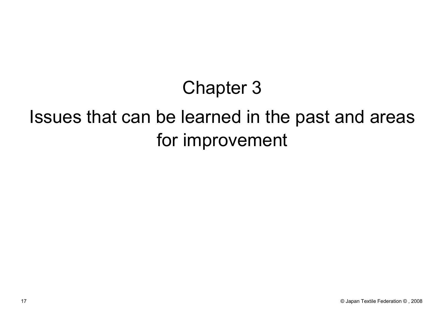# Chapter 3

# Issues that can be learned in the past and areas for improvement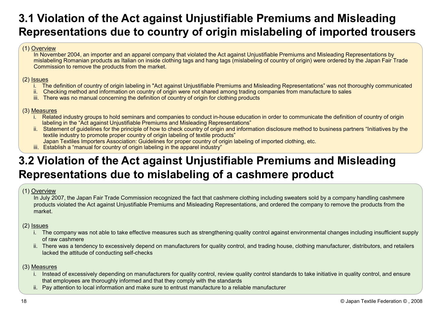# 3.1 Violation of the Act against Unjustifiable Premiums and Misleading Representations due to country of origin mislabeling of imported trousers 3.1 Violation of the Act against Unj<br>Representations due to country of<br> $\frac{(1) \text{ Overview}}{\ln \text{November 2004, an importer and an apparel company that violatemislabeling Romania products as Italian on inside clothing tags andCommission to remove the products from the market.$ Violation of the Act against Unjustifiable Premiums and Misleading<br>presentations due to country of origin mislabeling of imported trousers<br>in November 2004, an importer and an apparel company that violated the Act against **Violation of the Act against Unjustifiable Premiums and Misleading<br>presentations due to country of origin mislabeling of imported trousers<br>in November 2004, an importer and an apparel company that violated the Act against Violation of the Act against Unjustifiable Premiums and M<br>
In Presentations due to country of origin mislabeling of importance<br>
In November 2004, an importer and an apparel company that violated the Act against Unjustifia** Violation of the Act against Unjustifiable Premiums and Misleading<br>presentations due to country of origin mislabeling of imported trousers<br>his a mislim of Rower and a mapare company that violated the Act against Unjustifia Violation of the Act against Unjustifiable Premiums and Misleading<br>presentations due to country of origin mislabeling of imported trousers<br>his country counter and an apparel company that violated the Act against Unjustifie Violation of the Act against Unjustifiable Premation is the Secretive which in November 2004, an importer and an apparel company that violated the Act against Unjustifiable in November 2004, an importer and an apparel cont

In November 2004, an importer and an apparel company that violated the Act against Unjustifiable Premiums and Misleading Representations by mislabeling Romanian products as Italian on inside clothing tags and hang tags (mislabeling of country of origin) were ordered by the Japan Fair Trade Commission to remove the products from the market.

- (2) <u>Issues</u><br>i. The definition of country of origin labeling in "Act against Uniustifiable Premiums and Misleading Representations" was not thoroughly communicated
	-
	-

- (3) Measures<br>i. Related industry groups to hold seminars and companies to conduct in-house education in order to communicate the definition of country of origin labeling in the "Act against Unjustifiable Premiums and Misleading Representations"<br>ii. Statement of guidelines for the principle of how to check country of origin and information disclosure method to business partners "In
	- textile industry to promote proper country of origin labeling of textile products"
	- Japan Textiles Importers Association: Guidelines for proper country of origin labeling of imported clothing, etc.<br>iii. Establish a "manual for country of origin labeling in the apparel industry"
	-

# 3.2 Violation of the Act against Unjustifiable Premiums and Misleading (1) Overview<br>
In Downlor 2004, an importer and an apparel company that violated the Act against Unjustifiable Premiums and Misleading Representations<br>
In the vestion to remove the products from the market.<br>
(2) <u>Issues</u><br> In July 2007, the Japan Fair Trade Commission recognized the fact that cashmere deling including sweaters sold by a company handling cashmeters were clothing process.<br>In The definition of country of origin habeling in "Act ii. There was no manual concerning the definition of country of origin for clothing products<br>
Assume in the Architect propose to hold seminars and companies to conclude the house education in order to communicate the defin <u>in Selated industry groups to hold seminars and companies to conduct in-house education in order to communicate the definition of country of origin<br>
In Belangement for Orderspace for exceptible of exceptible defined on th</u> **in Span Textiles importers Association:** Guideling for propine country do rigin labeling in the apparel modulity"<br> **iii.** Establish a "manual for country of origin labeling in the apparel modulity"<br>
Diversions and Mislead **if youther to the Act against Unjustifiable Premining the Sentiations due to mislabeling of a cashmere or the divide of the divide of the algement in July 2007, the Japan Fair Trade Commission recognized the fact that cas**

#### (1) Overview

products violated the Act against Unjustifiable Premiums and Misleading Representations, and ordered the company to remove the products from the market.

#### (2) Issues

- of raw cashmere
- lacked the attitude of conducting self-checks

#### (3) Measures

- that employees are thoroughly informed and that they comply with the standards
-